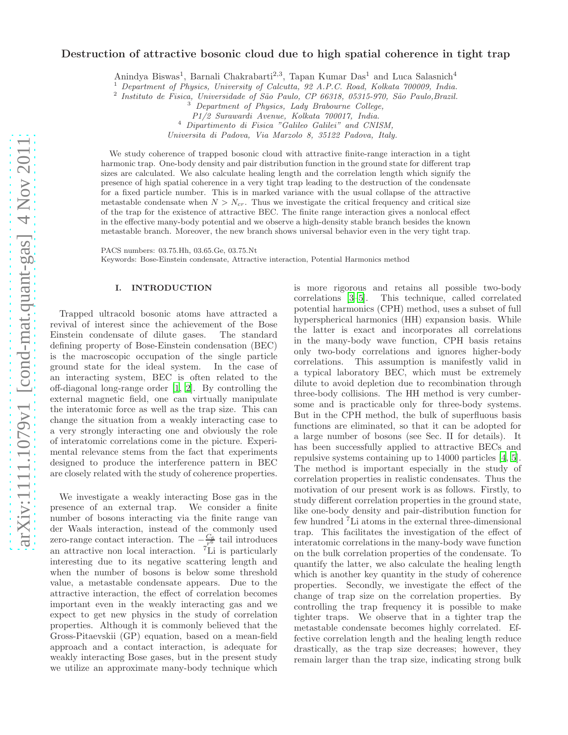# Destruction of attractive bosonic cloud due to high spatial coherence in tight trap

Anindya Biswas<sup>1</sup>, Barnali Chakrabarti<sup>2,3</sup>, Tapan Kumar Das<sup>1</sup> and Luca Salasnich<sup>4</sup>

<sup>1</sup> Department of Physics, University of Calcutta, 92 A.P.C. Road, Kolkata 700009, India.

<sup>2</sup> Instituto de Fisica, Universidade of São Paulo, CP 66318, 05315-970, São Paulo, Brazil.

<sup>3</sup> Department of Physics, Lady Brabourne College,

P1/2 Surawardi Avenue, Kolkata 700017, India.

<sup>4</sup> Dipartimento di Fisica "Galileo Galilei" and CNISM,

Universita di Padova, Via Marzolo 8, 35122 Padova, Italy.

We study coherence of trapped bosonic cloud with attractive finite-range interaction in a tight harmonic trap. One-body density and pair distribution function in the ground state for different trap sizes are calculated. We also calculate healing length and the correlation length which signify the presence of high spatial coherence in a very tight trap leading to the destruction of the condensate for a fixed particle number. This is in marked variance with the usual collapse of the attractive metastable condensate when  $N > N_{cr}$ . Thus we investigate the critical frequency and critical size of the trap for the existence of attractive BEC. The finite range interaction gives a nonlocal effect in the effective many-body potential and we observe a high-density stable branch besides the known metastable branch. Moreover, the new branch shows universal behavior even in the very tight trap.

PACS numbers: 03.75.Hh, 03.65.Ge, 03.75.Nt

Keywords: Bose-Einstein condensate, Attractive interaction, Potential Harmonics method

### I. INTRODUCTION

Trapped ultracold bosonic atoms have attracted a revival of interest since the achievement of the Bose Einstein condensate of dilute gases. The standard defining property of Bose-Einstein condensation (BEC) is the macroscopic occupation of the single particle ground state for the ideal system. In the case of an interacting system, BEC is often related to the off-diagonal long-range order [\[1](#page-7-0), [2](#page-7-1)]. By controlling the external magnetic field, one can virtually manipulate the interatomic force as well as the trap size. This can change the situation from a weakly interacting case to a very strongly interacting one and obviously the role of interatomic correlations come in the picture. Experimental relevance stems from the fact that experiments designed to produce the interference pattern in BEC are closely related with the study of coherence properties.

We investigate a weakly interacting Bose gas in the presence of an external trap. We consider a finite number of bosons interacting via the finite range van der Waals interaction, instead of the commonly used zero-range contact interaction. The  $-\frac{C_6}{r^6}$  tail introduces an attractive non local interaction.  ${}^{7}$ Li is particularly interesting due to its negative scattering length and when the number of bosons is below some threshold value, a metastable condensate appears. Due to the attractive interaction, the effect of correlation becomes important even in the weakly interacting gas and we expect to get new physics in the study of correlation properties. Although it is commonly believed that the Gross-Pitaevskii (GP) equation, based on a mean-field approach and a contact interaction, is adequate for weakly interacting Bose gases, but in the present study we utilize an approximate many-body technique which

is more rigorous and retains all possible two-body correlations [\[3](#page-7-2)[–5\]](#page-7-3). This technique, called correlated potential harmonics (CPH) method, uses a subset of full hyperspherical harmonics (HH) expansion basis. While the latter is exact and incorporates all correlations in the many-body wave function, CPH basis retains only two-body correlations and ignores higher-body correlations. This assumption is manifestly valid in a typical laboratory BEC, which must be extremely dilute to avoid depletion due to recombination through three-body collisions. The HH method is very cumbersome and is practicable only for three-body systems. But in the CPH method, the bulk of superfluous basis functions are eliminated, so that it can be adopted for a large number of bosons (see Sec. II for details). It has been successfully applied to attractive BECs and repulsive systems containing up to 14000 particles [\[4,](#page-7-4) [5\]](#page-7-3). The method is important especially in the study of correlation properties in realistic condensates. Thus the motivation of our present work is as follows. Firstly, to study different correlation properties in the ground state, like one-body density and pair-distribution function for few hundred <sup>7</sup>Li atoms in the external three-dimensional trap. This facilitates the investigation of the effect of interatomic correlations in the many-body wave function on the bulk correlation properties of the condensate. To quantify the latter, we also calculate the healing length which is another key quantity in the study of coherence properties. Secondly, we investigate the effect of the change of trap size on the correlation properties. By controlling the trap frequency it is possible to make tighter traps. We observe that in a tighter trap the metastable condensate becomes highly correlated. Effective correlation length and the healing length reduce drastically, as the trap size decreases; however, they remain larger than the trap size, indicating strong bulk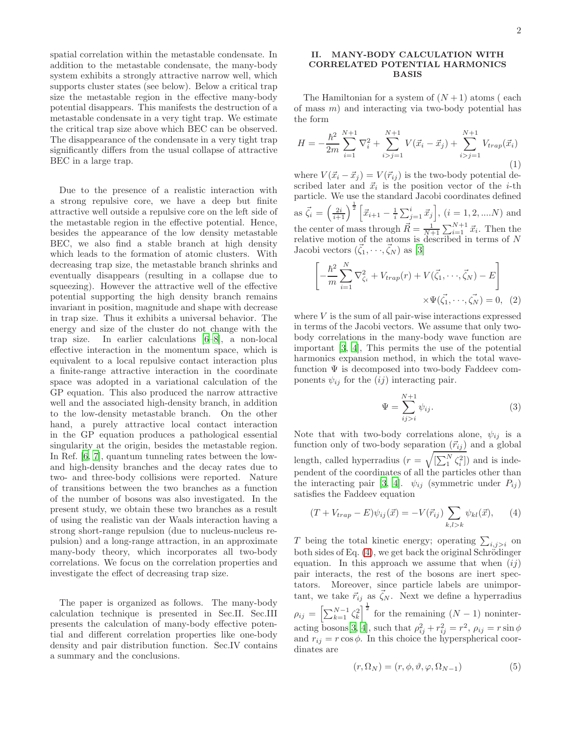spatial correlation within the metastable condensate. In addition to the metastable condensate, the many-body system exhibits a strongly attractive narrow well, which supports cluster states (see below). Below a critical trap size the metastable region in the effective many-body potential disappears. This manifests the destruction of a metastable condensate in a very tight trap. We estimate the critical trap size above which BEC can be observed. The disappearance of the condensate in a very tight trap significantly differs from the usual collapse of attractive BEC in a large trap.

Due to the presence of a realistic interaction with a strong repulsive core, we have a deep but finite attractive well outside a repulsive core on the left side of the metastable region in the effective potential. Hence, besides the appearance of the low density metastable BEC, we also find a stable branch at high density which leads to the formation of atomic clusters. With decreasing trap size, the metastable branch shrinks and eventually disappears (resulting in a collapse due to squeezing). However the attractive well of the effective potential supporting the high density branch remains invariant in position, magnitude and shape with decrease in trap size. Thus it exhibits a universal behavior. The energy and size of the cluster do not change with the trap size. In earlier calculations [\[6](#page-7-5)[–8](#page-7-6)], a non-local effective interaction in the momentum space, which is equivalent to a local repulsive contact interaction plus a finite-range attractive interaction in the coordinate space was adopted in a variational calculation of the GP equation. This also produced the narrow attractive well and the associated high-density branch, in addition to the low-density metastable branch. On the other hand, a purely attractive local contact interaction in the GP equation produces a pathological essential singularity at the origin, besides the metastable region. In Ref. [\[6](#page-7-5), [7](#page-7-7)], quantum tunneling rates between the lowand high-density branches and the decay rates due to two- and three-body collisions were reported. Nature of transitions between the two branches as a function of the number of bosons was also investigated. In the present study, we obtain these two branches as a result of using the realistic van der Waals interaction having a strong short-range repulsion (due to nucleus-nucleus repulsion) and a long-range attraction, in an approximate many-body theory, which incorporates all two-body correlations. We focus on the correlation properties and investigate the effect of decreasing trap size.

The paper is organized as follows. The many-body calculation technique is presented in Sec.II. Sec.III presents the calculation of many-body effective potential and different correlation properties like one-body density and pair distribution function. Sec.IV contains a summary and the conclusions.

## II. MANY-BODY CALCULATION WITH CORRELATED POTENTIAL HARMONICS BASIS

The Hamiltonian for a system of  $(N+1)$  atoms (each of mass  $m$ ) and interacting via two-body potential has the form

$$
H = -\frac{\hbar^2}{2m} \sum_{i=1}^{N+1} \nabla_i^2 + \sum_{i>j=1}^{N+1} V(\vec{x}_i - \vec{x}_j) + \sum_{i>j=1}^{N+1} V_{trap}(\vec{x}_i)
$$
\n(1)

where  $V(\vec{x}_i - \vec{x}_j) = V(\vec{r}_{ij})$  is the two-body potential described later and  $\vec{x}_i$  is the position vector of the *i*-th particle. We use the standard Jacobi coordinates defined as  $\vec{\zeta}_i = \left(\frac{2i}{i+1}\right)^{\frac{1}{2}} \left[\vec{x}_{i+1} - \frac{1}{i} \sum_{j=1}^i \vec{x}_j\right], (i = 1, 2, ....N)$  and the center of mass through  $\vec{R} = \frac{1}{N+1} \sum_{i=1}^{N+1} \vec{x}_i$ . Then the relative motion of the atoms is described in terms of N Jacobi vectors  $(\vec{\zeta}_1, \dots, \vec{\zeta}_N)$  as [\[3](#page-7-2)]

$$
\left[-\frac{\hbar^2}{m}\sum_{i=1}^N \nabla_{\zeta_i}^2 + V_{trap}(r) + V(\vec{\zeta}_1, \cdots, \vec{\zeta}_N) - E\right] \times \Psi(\vec{\zeta}_1, \cdots, \vec{\zeta}_N) = 0, \tag{2}
$$

where  $V$  is the sum of all pair-wise interactions expressed in terms of the Jacobi vectors. We assume that only twobody correlations in the many-body wave function are important [\[3,](#page-7-2) [4\]](#page-7-4), This permits the use of the potential harmonics expansion method, in which the total wavefunction  $\Psi$  is decomposed into two-body Faddeev components  $\psi_{ij}$  for the  $(ij)$  interacting pair.

$$
\Psi = \sum_{ij>i}^{N+1} \psi_{ij}.
$$
\n(3)

Note that with two-body correlations alone,  $\psi_{ij}$  is a function only of two-body separation  $(\vec{r}_{ij})$  and a global length, called hyperradius  $(r = \sqrt{\left[\sum_{i=1}^{N} \zeta_i^2\right]})$  and is independent of the coordinates of all the particles other than the interacting pair [\[3,](#page-7-2) [4](#page-7-4)].  $\psi_{ij}$  (symmetric under  $P_{ij}$ ) satisfies the Faddeev equation

<span id="page-1-0"></span>
$$
(T + V_{trap} - E)\psi_{ij}(\vec{x}) = -V(\vec{r}_{ij})\sum_{k,l>k}\psi_{kl}(\vec{x}), \qquad (4)
$$

T being the total kinetic energy; operating  $\sum_{i,j>i}$  on both sides of Eq.  $(4)$ , we get back the original Schrödinger equation. In this approach we assume that when  $(ij)$ pair interacts, the rest of the bosons are inert spectators. Moreover, since particle labels are unimportant, we take  $\vec{r}_{ij}$  as  $\vec{\zeta}_N$ . Next we define a hyperradius  $\rho_{ij} = \left[\sum_{k=1}^{N-1} \zeta_k^2\right]^{\frac{1}{2}}$  for the remaining  $(N-1)$  noninter-acting bosons[\[3,](#page-7-2) [4\]](#page-7-4), such that  $\rho_{ij}^2 + r_{ij}^2 = r^2$ ,  $\rho_{ij} = r \sin \phi$ and  $r_{ij} = r \cos \phi$ . In this choice the hyperspherical coordinates are

$$
(r, \Omega_N) = (r, \phi, \vartheta, \varphi, \Omega_{N-1})
$$
\n(5)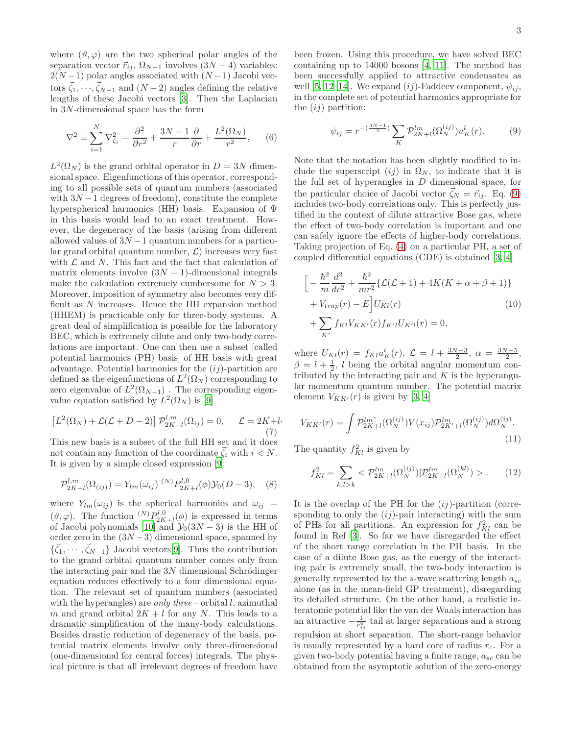where  $(\vartheta, \varphi)$  are the two spherical polar angles of the separation vector  $\vec{r}_{ij}$ ,  $\Omega_{N-1}$  involves  $(3N-4)$  variables:  $2(N-1)$  polar angles associated with  $(N-1)$  Jacobi vectors  $\vec{\zeta}_1, \dots, \vec{\zeta}_{N-1}$  and  $(N-2)$  angles defining the relative lengths of these Jacobi vectors [\[3\]](#page-7-2). Then the Laplacian in 3N-dimensional space has the form

$$
\nabla^2 \equiv \sum_{i=1}^N \nabla_{\zeta_i}^2 = \frac{\partial^2}{\partial r^2} + \frac{3N - 1}{r} \frac{\partial}{\partial r} + \frac{L^2(\Omega_N)}{r^2}, \qquad (6)
$$

 $L^2(\Omega_N)$  is the grand orbital operator in  $D = 3N$  dimensional space. Eigenfunctions of this operator, corresponding to all possible sets of quantum numbers (associated with  $3N-1$  degrees of freedom), constitute the complete hyperspherical harmonics (HH) basis. Expansion of Ψ in this basis would lead to an exact treatment. However, the degeneracy of the basis (arising from different allowed values of  $3N-1$  quantum numbers for a particular grand orbital quantum number,  $\mathcal{L}$ ) increases very fast with  $\mathcal L$  and  $N$ . This fact and the fact that calculation of matrix elements involve  $(3N - 1)$ -dimensional integrals make the calculation extremely cumbersome for  $N > 3$ . Moreover, imposition of symmetry also becomes very difficult as N increases. Hence the HH expansion method (HHEM) is practicable only for three-body systems. A great deal of simplification is possible for the laboratory BEC, which is extremely dilute and only two-body correlations are important. One can then use a subset [called potential harmonics (PH) basis] of HH basis with great advantage. Potential harmonics for the  $(i)$ -partition are defined as the eigenfunctions of  $L^2(\Omega_N)$  corresponding to zero eigenvalue of  $L^2(\Omega_{N-1})$ . The corresponding eigenvalue equation satisfied by  $L^2(\Omega_N)$  is [\[9](#page-7-8)]

$$
\[L^2(\Omega_N) + \mathcal{L}(\mathcal{L} + D - 2)\]\mathcal{P}_{2K+l}^{l,m}(\Omega_{ij}) = 0, \quad \mathcal{L} = 2K + l\tag{7}
$$

This new basis is a subset of the full HH set and it does not contain any function of the coordinate  $\zeta_i$  with  $i < N$ . It is given by a simple closed expression [\[9](#page-7-8)]

$$
\mathcal{P}_{2K+l}^{l,m}(\Omega_{(ij)}) = Y_{lm}(\omega_{ij})^{(N)} P_{2K+l}^{l,0}(\phi) \mathcal{Y}_0(D-3), \quad (8)
$$

where  $Y_{lm}(\omega_{ij})$  is the spherical harmonics and  $\omega_{ij}$  =  $(\vartheta, \varphi)$ . The function  ${}^{(N)}P_{2K+l}^{l,0}(\phi)$  is expressed in terms of Jacobi polynomials [\[10](#page-7-9)] and  $\mathcal{Y}_0(3N-3)$  is the HH of order zero in the  $(3N-3)$  dimensional space, spanned by  $\{\vec{\zeta}_1, \cdots, \vec{\zeta}_{N-1}\}\,$  Jacobi vectors[\[9\]](#page-7-8). Thus the contribution to the grand orbital quantum number comes only from the interacting pair and the  $3N$  dimensional Schrödinger equation reduces effectively to a four dimensional equation. The relevant set of quantum numbers (associated with the hyperangles) are *only three* – orbital  $l$ , azimuthal m and grand orbital  $2K + l$  for any N. This leads to a dramatic simplification of the many-body calculations. Besides drastic reduction of degeneracy of the basis, potential matrix elements involve only three-dimensional (one-dimensional for central forces) integrals. The physical picture is that all irrelevant degrees of freedom have

been frozen. Using this procedure, we have solved BEC containing up to 14000 bosons [\[4](#page-7-4), [11\]](#page-7-10). The method has been successfully applied to attractive condensates as well [\[5](#page-7-3), [12](#page-7-11)[–14\]](#page-7-12). We expand  $(ij)$ -Faddeev component,  $\psi_{ij}$ , in the complete set of potential harmonics appropriate for the  $(ij)$  partition:

<span id="page-2-0"></span>
$$
\psi_{ij} = r^{-(\frac{3N-1}{2})} \sum_{K} \mathcal{P}_{2K+l}^{lm}(\Omega_N^{(ij)}) u_K^l(r). \tag{9}
$$

Note that the notation has been slightly modified to include the superscript  $(ij)$  in  $\Omega_N$ , to indicate that it is the full set of hyperangles in  $D$  dimensional space, for the particular choice of Jacobi vector  $\vec{\zeta}_N = \vec{r}_{ij}$ . Eq. [\(9\)](#page-2-0) includes two-body correlations only. This is perfectly justified in the context of dilute attractive Bose gas, where the effect of two-body correlation is important and one can safely ignore the effects of higher-body correlations. Taking projection of Eq. [\(4\)](#page-1-0) on a particular PH, a set of coupled differential equations (CDE) is obtained [\[3](#page-7-2), [4\]](#page-7-4)

$$
\left[ -\frac{\hbar^2}{m} \frac{d^2}{dr^2} + \frac{\hbar^2}{mr^2} \{ \mathcal{L}(\mathcal{L} + 1) + 4K(K + \alpha + \beta + 1) \} + V_{trap}(r) - E \right] U_{Kl}(r) \n+ \sum_{K'} f_{Kl} V_{KK'}(r) f_{K'l} U_{K'l}(r) = 0,
$$
\n(10)

where  $U_{Kl}(r) = f_{Kl}u_K^l(r)$ ,  $\mathcal{L} = l + \frac{3N-3}{2}$ ,  $\alpha = \frac{3N-5}{2}$ ,  $\beta = l + \frac{1}{2}$ , l being the orbital angular momentum contributed by the interacting pair and  $K$  is the hyperangular momentum quantum number. The potential matrix element  $V_{KK'}(r)$  is given by [\[3,](#page-7-2) [4\]](#page-7-4)

$$
V_{KK'}(r) = \int \mathcal{P}_{2K+l}^{lm^*}(\Omega_N^{(ij)}) V(x_{ij}) \mathcal{P}_{2K'+l}^{lm}(\Omega_N^{(ij)}) d\Omega_N^{(ij)}.
$$
\n(11)

The quantity  $f_{Kl}^2$  is given by

$$
f_{Kl}^2 = \sum_{k,l>k} < \mathcal{P}_{2K+l}^{lm}(\Omega_N^{(ij)})|\mathcal{P}_{2K+l}^{lm}(\Omega_N^{(kl)}) > . \tag{12}
$$

It is the overlap of the PH for the  $(ij)$ -partition (corresponding to only the  $(ij)$ -pair interacting) with the sum of PHs for all partitions. An expression for  $f_{Kl}^2$  can be found in Ref [\[3\]](#page-7-2). So far we have disregarded the effect of the short range correlation in the PH basis. In the case of a dilute Bose gas, as the energy of the interacting pair is extremely small, the two-body interaction is generally represented by the s-wave scattering length  $a_{sc}$ alone (as in the mean-field GP treatment), disregarding its detailed structure. On the other hand, a realistic interatomic potential like the van der Waals interaction has an attractive  $-\frac{1}{r_{ij}^6}$  tail at larger separations and a strong repulsion at short separation. The short-range behavior is usually represented by a hard core of radius  $r_c$ . For a given two-body potential having a finite range,  $a_{sc}$  can be obtained from the asymptotic solution of the zero-energy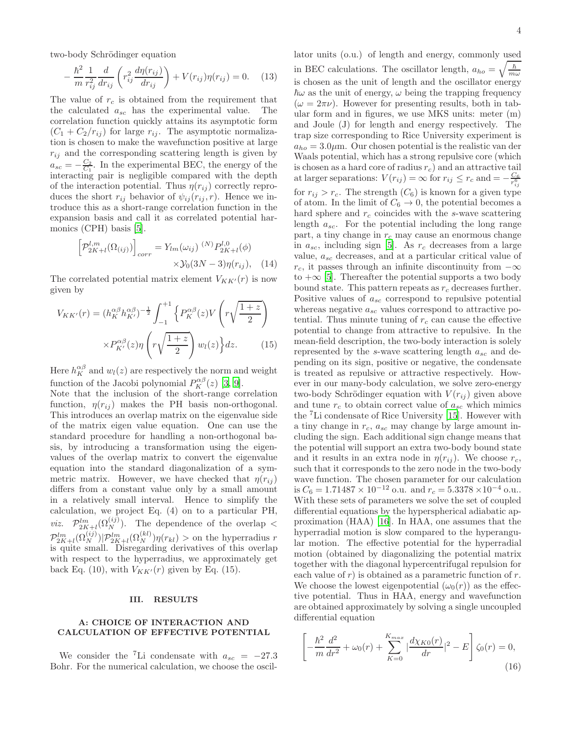two-body Schrödinger equation

$$
-\frac{\hbar^2}{m} \frac{1}{r_{ij}^2} \frac{d}{dr_{ij}} \left( r_{ij}^2 \frac{d\eta(r_{ij})}{dr_{ij}} \right) + V(r_{ij})\eta(r_{ij}) = 0. \quad (13)
$$

The value of  $r_c$  is obtained from the requirement that the calculated  $a_{sc}$  has the experimental value. The correlation function quickly attains its asymptotic form  $(C_1 + C_2/r_{ij})$  for large  $r_{ij}$ . The asymptotic normalization is chosen to make the wavefunction positive at large  $r_{ij}$  and the corresponding scattering length is given by  $a_{sc} = -\frac{C_2}{C_1}$ . In the experimental BEC, the energy of the interacting pair is negligible compared with the depth of the interaction potential. Thus  $\eta(r_{ij})$  correctly reproduces the short  $r_{ij}$  behavior of  $\psi_{ij}(r_{ij}, r)$ . Hence we introduce this as a short-range correlation function in the expansion basis and call it as correlated potential harmonics (CPH) basis [\[5](#page-7-3)].

$$
\left[\mathcal{P}_{2K+l}^{l,m}(\Omega_{(ij)})\right]_{corr} = Y_{lm}(\omega_{ij})^{(N)} P_{2K+l}^{l,0}(\phi)
$$

$$
\times \mathcal{Y}_0(3N-3)\eta(r_{ij}), \quad (14)
$$

The correlated potential matrix element  $V_{KK'}(r)$  is now given by

$$
V_{KK'}(r) = (h_K^{\alpha\beta} h_{K'}^{\alpha\beta})^{-\frac{1}{2}} \int_{-1}^{+1} \left\{ P_K^{\alpha\beta}(z) V\left(r\sqrt{\frac{1+z}{2}}\right) \times P_{K'}^{\alpha\beta}(z)\eta\left(r\sqrt{\frac{1+z}{2}}\right) w_l(z) \right\} dz.
$$
 (15)

Here  $h_K^{\alpha\beta}$  and  $w_l(z)$  are respectively the norm and weight function of the Jacobi polynomial  $P_K^{\alpha\beta}(z)$  [\[3](#page-7-2), [9\]](#page-7-8).

Note that the inclusion of the short-range correlation function,  $\eta(r_{ij})$  makes the PH basis non-orthogonal. This introduces an overlap matrix on the eigenvalue side of the matrix eigen value equation. One can use the standard procedure for handling a non-orthogonal basis, by introducing a transformation using the eigenvalues of the overlap matrix to convert the eigenvalue equation into the standard diagonalization of a symmetric matrix. However, we have checked that  $\eta(r_{ij})$ differs from a constant value only by a small amount in a relatively small interval. Hence to simplify the calculation, we project Eq. (4) on to a particular PH, *viz.*  $\mathcal{P}_{2K+l}^{lm}(\Omega_N^{(ij)})$ . The dependence of the overlap <  $\mathcal{P}_{2K+l}^{lm}(\Omega_N^{(ij)}) | \mathcal{P}_{2K+l}^{lm}(\Omega_N^{(kl)}) \eta(r_{kl}) > \text{on the hyperradius } r$ is quite small. Disregarding derivatives of this overlap with respect to the hyperradius, we approximately get back Eq. (10), with  $V_{KK'}(r)$  given by Eq. (15).

### III. RESULTS

## A: CHOICE OF INTERACTION AND CALCULATION OF EFFECTIVE POTENTIAL

We consider the <sup>7</sup>Li condensate with  $a_{sc} = -27.3$ Bohr. For the numerical calculation, we choose the oscillator units (o.u.) of length and energy, commonly used in BEC calculations. The oscillator length,  $a_{ho} = \sqrt{\frac{\hbar}{m}}$  $m\omega$ is chosen as the unit of length and the oscillator energy  $\hbar\omega$  as the unit of energy,  $\omega$  being the trapping frequency  $(\omega = 2\pi\nu)$ . However for presenting results, both in tabular form and in figures, we use MKS units: meter (m) and Joule (J) for length and energy respectively. The trap size corresponding to Rice University experiment is  $a_{ho} = 3.0 \mu$ m. Our chosen potential is the realistic van der Waals potential, which has a strong repulsive core (which is chosen as a hard core of radius  $r_c$ ) and an attractive tail at larger separations:  $V(r_{ij}) = \infty$  for  $r_{ij} \le r_c$  and  $= -\frac{C_6}{r_{ij}^6}$ for  $r_{ij} > r_c$ . The strength  $(C_6)$  is known for a given type of atom. In the limit of  $C_6 \rightarrow 0$ , the potential becomes a hard sphere and  $r_c$  coincides with the s-wave scattering length  $a_{sc}$ . For the potential including the long range part, a tiny change in  $r_c$  may cause an enormous change in  $a_{sc}$ , including sign [\[5\]](#page-7-3). As  $r_c$  decreases from a large value,  $a_{sc}$  decreases, and at a particular critical value of  $r_c$ , it passes through an infinite discontinuity from  $-\infty$ to  $+\infty$  [\[5](#page-7-3)]. Thereafter the potential supports a two body bound state. This pattern repeats as  $r_c$  decreases further. Positive values of  $a_{sc}$  correspond to repulsive potential whereas negative  $a_{sc}$  values correspond to attractive potential. Thus minute tuning of  $r_c$  can cause the effective potential to change from attractive to repulsive. In the mean-field description, the two-body interaction is solely represented by the s-wave scattering length  $a_{sc}$  and depending on its sign, positive or negative, the condensate is treated as repulsive or attractive respectively. However in our many-body calculation, we solve zero-energy two-body Schrödinger equation with  $V(r_{ij})$  given above and tune  $r_c$  to obtain correct value of  $a_{sc}$  which mimics the <sup>7</sup>Li condensate of Rice University [\[15](#page-7-13)]. However with a tiny change in  $r_c$ ,  $a_{sc}$  may change by large amount including the sign. Each additional sign change means that the potential will support an extra two-body bound state and it results in an extra node in  $\eta(r_{ij})$ . We choose  $r_c$ , such that it corresponds to the zero node in the two-body wave function. The chosen parameter for our calculation is  $C_6 = 1.71487 \times 10^{-12}$  o.u. and  $r_c = 5.3378 \times 10^{-4}$  o.u.. With these sets of parameters we solve the set of coupled differential equations by the hyperspherical adiabatic approximation (HAA) [\[16](#page-7-14)]. In HAA, one assumes that the hyperradial motion is slow compared to the hyperangular motion. The effective potential for the hyperradial motion (obtained by diagonalizing the potential matrix together with the diagonal hypercentrifugal repulsion for each value of  $r$ ) is obtained as a parametric function of  $r$ . We choose the lowest eigenpotential  $(\omega_0(r))$  as the effective potential. Thus in HAA, energy and wavefunction are obtained approximately by solving a single uncoupled differential equation

$$
\left[ -\frac{\hbar^2}{m} \frac{d^2}{dr^2} + \omega_0(r) + \sum_{K=0}^{K_{max}} \left| \frac{d\chi_{K0}(r)}{dr} \right|^2 - E \right] \zeta_0(r) = 0,
$$
\n(16)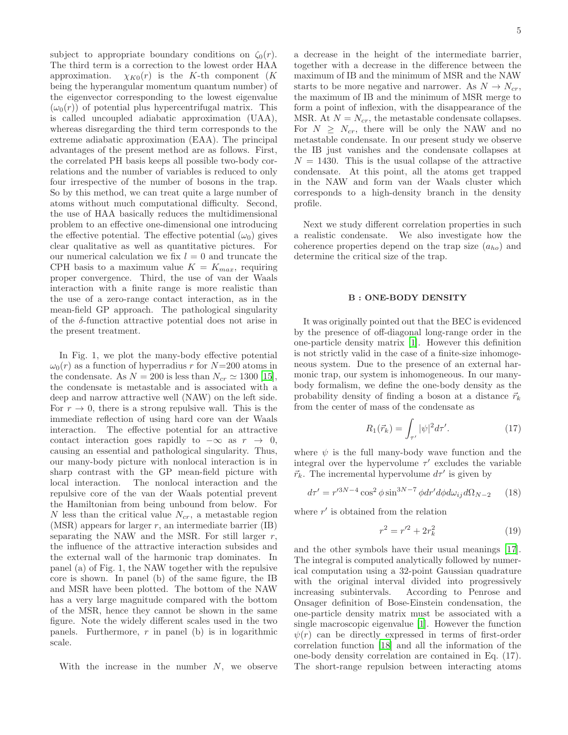subject to appropriate boundary conditions on  $\zeta_0(r)$ . The third term is a correction to the lowest order HAA approximation.  $\chi_{K0}(r)$  is the K-th component (K) being the hyperangular momentum quantum number) of the eigenvector corresponding to the lowest eigenvalue  $(\omega_0(r))$  of potential plus hypercentrifugal matrix. This is called uncoupled adiabatic approximation (UAA), whereas disregarding the third term corresponds to the extreme adiabatic approximation (EAA). The principal advantages of the present method are as follows. First, the correlated PH basis keeps all possible two-body correlations and the number of variables is reduced to only four irrespective of the number of bosons in the trap. So by this method, we can treat quite a large number of atoms without much computational difficulty. Second, the use of HAA basically reduces the multidimensional problem to an effective one-dimensional one introducing the effective potential. The effective potential  $(\omega_0)$  gives clear qualitative as well as quantitative pictures. For our numerical calculation we fix  $l = 0$  and truncate the CPH basis to a maximum value  $K = K_{max}$ , requiring proper convergence. Third, the use of van der Waals interaction with a finite range is more realistic than the use of a zero-range contact interaction, as in the mean-field GP approach. The pathological singularity of the δ-function attractive potential does not arise in the present treatment.

In Fig. 1, we plot the many-body effective potential  $\omega_0(r)$  as a function of hyperradius r for  $N=200$  atoms in the condensate. As  $N = 200$  is less than  $N_{cr} \simeq 1300$  [\[15\]](#page-7-13), the condensate is metastable and is associated with a deep and narrow attractive well (NAW) on the left side. For  $r \to 0$ , there is a strong repulsive wall. This is the immediate reflection of using hard core van der Waals interaction. The effective potential for an attractive contact interaction goes rapidly to  $-\infty$  as  $r \to 0$ , causing an essential and pathological singularity. Thus, our many-body picture with nonlocal interaction is in sharp contrast with the GP mean-field picture with local interaction. The nonlocal interaction and the repulsive core of the van der Waals potential prevent the Hamiltonian from being unbound from below. For  $N$  less than the critical value  $N_{cr}$ , a metastable region  $(MSR)$  appears for larger r, an intermediate barrier  $(IB)$ separating the NAW and the MSR. For still larger  $r$ , the influence of the attractive interaction subsides and the external wall of the harmonic trap dominates. In panel (a) of Fig. 1, the NAW together with the repulsive core is shown. In panel (b) of the same figure, the IB and MSR have been plotted. The bottom of the NAW has a very large magnitude compared with the bottom of the MSR, hence they cannot be shown in the same figure. Note the widely different scales used in the two panels. Furthermore,  $r$  in panel (b) is in logarithmic scale.

With the increase in the number  $N$ , we observe

a decrease in the height of the intermediate barrier, together with a decrease in the difference between the maximum of IB and the minimum of MSR and the NAW starts to be more negative and narrower. As  $N \rightarrow N_{cr}$ , the maximum of IB and the minimum of MSR merge to form a point of inflexion, with the disappearance of the MSR. At  $N = N_{cr}$ , the metastable condensate collapses. For  $N \geq N_{cr}$ , there will be only the NAW and no metastable condensate. In our present study we observe the IB just vanishes and the condensate collapses at  $N = 1430$ . This is the usual collapse of the attractive condensate. At this point, all the atoms get trapped in the NAW and form van der Waals cluster which corresponds to a high-density branch in the density profile.

Next we study different correlation properties in such a realistic condensate. We also investigate how the coherence properties depend on the trap size  $(a_{ho})$  and determine the critical size of the trap.

### B : ONE-BODY DENSITY

It was originally pointed out that the BEC is evidenced by the presence of off-diagonal long-range order in the one-particle density matrix [\[1\]](#page-7-0). However this definition is not strictly valid in the case of a finite-size inhomogeneous system. Due to the presence of an external harmonic trap, our system is inhomogeneous. In our manybody formalism, we define the one-body density as the probability density of finding a boson at a distance  $\vec{r}_k$ from the center of mass of the condensate as

$$
R_1(\vec{r}_k) = \int_{\tau'} |\psi|^2 d\tau'. \tag{17}
$$

where  $\psi$  is the full many-body wave function and the integral over the hypervolume  $\tau'$  excludes the variable  $\vec{r}_k$ . The incremental hypervolume  $d\tau'$  is given by

$$
d\tau' = r'^{3N-4}\cos^2\phi\sin^{3N-7}\phi dr' d\phi d\omega_{ij} d\Omega_{N-2}
$$
 (18)

where  $r'$  is obtained from the relation

$$
r^2 = r'^2 + 2r_k^2 \tag{19}
$$

and the other symbols have their usual meanings [\[17\]](#page-7-15). The integral is computed analytically followed by numerical computation using a 32-point Gaussian quadrature with the original interval divided into progressively increasing subintervals. According to Penrose and Onsager definition of Bose-Einstein condensation, the one-particle density matrix must be associated with a single macroscopic eigenvalue [\[1](#page-7-0)]. However the function  $\psi(r)$  can be directly expressed in terms of first-order correlation function [\[18\]](#page-7-16) and all the information of the one-body density correlation are contained in Eq. (17). The short-range repulsion between interacting atoms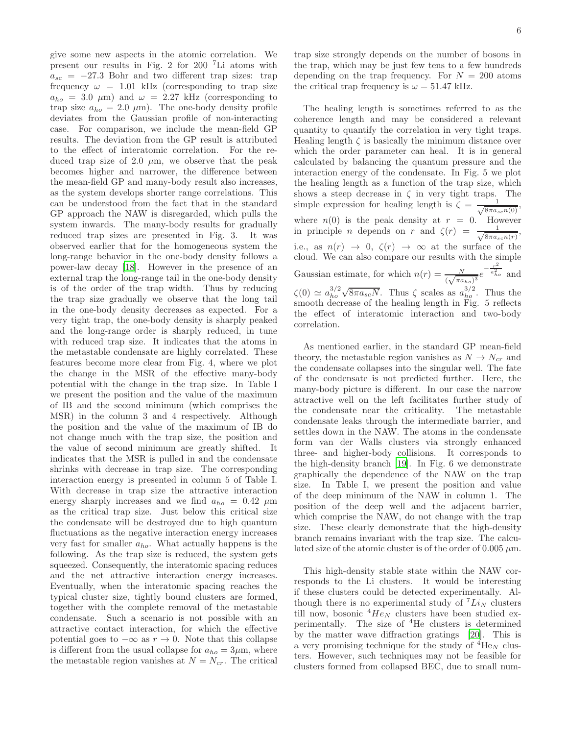give some new aspects in the atomic correlation. We present our results in Fig. 2 for 200 <sup>7</sup>Li atoms with  $a_{sc}$  = −27.3 Bohr and two different trap sizes: trap frequency  $\omega = 1.01$  kHz (corresponding to trap size  $a_{ho} = 3.0 \mu m$ ) and  $\omega = 2.27 \text{ kHz}$  (corresponding to trap size  $a_{ho} = 2.0 \mu m$ ). The one-body density profile deviates from the Gaussian profile of non-interacting case. For comparison, we include the mean-field GP results. The deviation from the GP result is attributed to the effect of interatomic correlation. For the reduced trap size of 2.0  $\mu$ m, we observe that the peak becomes higher and narrower, the difference between the mean-field GP and many-body result also increases, as the system develops shorter range correlations. This can be understood from the fact that in the standard GP approach the NAW is disregarded, which pulls the system inwards. The many-body results for gradually reduced trap sizes are presented in Fig. 3. It was observed earlier that for the homogeneous system the long-range behavior in the one-body density follows a power-law decay [\[18\]](#page-7-16). However in the presence of an external trap the long-range tail in the one-body density is of the order of the trap width. Thus by reducing the trap size gradually we observe that the long tail in the one-body density decreases as expected. For a very tight trap, the one-body density is sharply peaked and the long-range order is sharply reduced, in tune with reduced trap size. It indicates that the atoms in the metastable condensate are highly correlated. These features become more clear from Fig. 4, where we plot the change in the MSR of the effective many-body potential with the change in the trap size. In Table I we present the position and the value of the maximum of IB and the second minimum (which comprises the MSR) in the column 3 and 4 respectively. Although the position and the value of the maximum of IB do not change much with the trap size, the position and the value of second minimum are greatly shifted. It indicates that the MSR is pulled in and the condensate shrinks with decrease in trap size. The corresponding interaction energy is presented in column 5 of Table I. With decrease in trap size the attractive interaction energy sharply increases and we find  $a_{ho} = 0.42 \mu m$ as the critical trap size. Just below this critical size the condensate will be destroyed due to high quantum fluctuations as the negative interaction energy increases very fast for smaller  $a_{ho}$ . What actually happens is the following. As the trap size is reduced, the system gets squeezed. Consequently, the interatomic spacing reduces and the net attractive interaction energy increases. Eventually, when the interatomic spacing reaches the typical cluster size, tightly bound clusters are formed, together with the complete removal of the metastable condensate. Such a scenario is not possible with an attractive contact interaction, for which the effective potential goes to  $-\infty$  as  $r \to 0$ . Note that this collapse is different from the usual collapse for  $a_{ho} = 3 \mu m$ , where the metastable region vanishes at  $N = N_{cr}$ . The critical

trap size strongly depends on the number of bosons in the trap, which may be just few tens to a few hundreds depending on the trap frequency. For  $N = 200$  atoms the critical trap frequency is  $\omega = 51.47$  kHz.

The healing length is sometimes referred to as the coherence length and may be considered a relevant quantity to quantify the correlation in very tight traps. Healing length  $\zeta$  is basically the minimum distance over which the order parameter can heal. It is in general calculated by balancing the quantum pressure and the interaction energy of the condensate. In Fig. 5 we plot the healing length as a function of the trap size, which shows a steep decrease in  $\zeta$  in very tight traps. The simple expression for healing length is  $\zeta = \frac{1}{\sqrt{8\pi a}}$  $\frac{1}{8\pi a_{sc}n(0)},$ where  $n(0)$  is the peak density at  $r = 0$ . However in principle *n* depends on *r* and  $\zeta(r) = \frac{1}{\sqrt{8\pi a}}$  $\frac{1}{8\pi a_{sc}n(r)},$ i.e., as  $n(r) \rightarrow 0, \zeta(r) \rightarrow \infty$  at the surface of the cloud. We can also compare our results with the simple Gaussian estimate, for which  $n(r) = \frac{N}{(\sqrt{\pi a_{ho}})^3}e^{-\frac{r^2}{a_{ho}^2}}$  and  $\zeta(0) \simeq a_{ho}^{3/2}$  $\frac{3}{2} \sqrt{8\pi a_{sc} N}$ . Thus  $\zeta$  scales as  $a_{ho}^{3/2}$ . Thus the smooth decrease of the healing length in Fig. 5 reflects the effect of interatomic interaction and two-body correlation.

As mentioned earlier, in the standard GP mean-field theory, the metastable region vanishes as  $N \to N_{cr}$  and the condensate collapses into the singular well. The fate of the condensate is not predicted further. Here, the many-body picture is different. In our case the narrow attractive well on the left facilitates further study of the condensate near the criticality. The metastable condensate leaks through the intermediate barrier, and settles down in the NAW. The atoms in the condensate form van der Walls clusters via strongly enhanced three- and higher-body collisions. It corresponds to the high-density branch [\[19](#page-7-17)]. In Fig. 6 we demonstrate graphically the dependence of the NAW on the trap size. In Table I, we present the position and value of the deep minimum of the NAW in column 1. The position of the deep well and the adjacent barrier, which comprise the NAW, do not change with the trap size. These clearly demonstrate that the high-density branch remains invariant with the trap size. The calculated size of the atomic cluster is of the order of 0.005  $\mu$ m.

This high-density stable state within the NAW corresponds to the Li clusters. It would be interesting if these clusters could be detected experimentally. Although there is no experimental study of  $^7Li_N$  clusters till now, bosonic  ${}^4He_N$  clusters have been studied experimentally. The size of  ${}^{4}$ He clusters is determined by the matter wave diffraction gratings [\[20](#page-7-18)]. This is a very promising technique for the study of  ${}^4\textrm{He}_N$  clusters. However, such techniques may not be feasible for clusters formed from collapsed BEC, due to small num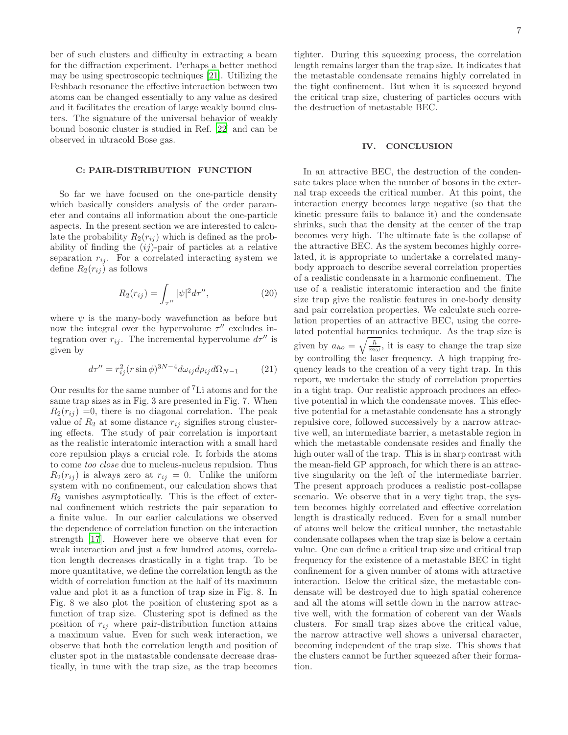ber of such clusters and difficulty in extracting a beam for the diffraction experiment. Perhaps a better method may be using spectroscopic techniques [\[21](#page-7-19)]. Utilizing the Feshbach resonance the effective interaction between two atoms can be changed essentially to any value as desired and it facilitates the creation of large weakly bound clusters. The signature of the universal behavior of weakly bound bosonic cluster is studied in Ref. [\[22\]](#page-7-20) and can be observed in ultracold Bose gas.

## C: PAIR-DISTRIBUTION FUNCTION

So far we have focused on the one-particle density which basically considers analysis of the order parameter and contains all information about the one-particle aspects. In the present section we are interested to calculate the probability  $R_2(r_{ij})$  which is defined as the probability of finding the  $(ij)$ -pair of particles at a relative separation  $r_{ij}$ . For a correlated interacting system we define  $R_2(r_{ij})$  as follows

$$
R_2(r_{ij}) = \int_{\tau''} |\psi|^2 d\tau'', \tag{20}
$$

where  $\psi$  is the many-body wavefunction as before but now the integral over the hypervolume  $\tau''$  excludes integration over  $r_{ij}$ . The incremental hypervolume  $d\tau''$  is given by

$$
d\tau'' = r_{ij}^2 (r\sin\phi)^{3N-4} d\omega_{ij} d\rho_{ij} d\Omega_{N-1}
$$
 (21)

Our results for the same number of <sup>7</sup>Li atoms and for the same trap sizes as in Fig. 3 are presented in Fig. 7. When  $R_2(r_{ij}) = 0$ , there is no diagonal correlation. The peak value of  $R_2$  at some distance  $r_{ij}$  signifies strong clustering effects. The study of pair correlation is important as the realistic interatomic interaction with a small hard core repulsion plays a crucial role. It forbids the atoms to come too close due to nucleus-nucleus repulsion. Thus  $R_2(r_{ij})$  is always zero at  $r_{ij} = 0$ . Unlike the uniform system with no confinement, our calculation shows that  $R_2$  vanishes asymptotically. This is the effect of external confinement which restricts the pair separation to a finite value. In our earlier calculations we observed the dependence of correlation function on the interaction strength [\[17\]](#page-7-15). However here we observe that even for weak interaction and just a few hundred atoms, correlation length decreases drastically in a tight trap. To be more quantitative, we define the correlation length as the width of correlation function at the half of its maximum value and plot it as a function of trap size in Fig. 8. In Fig. 8 we also plot the position of clustering spot as a function of trap size. Clustering spot is defined as the position of  $r_{ij}$  where pair-distribution function attains a maximum value. Even for such weak interaction, we observe that both the correlation length and position of cluster spot in the matastable condensate decrease drastically, in tune with the trap size, as the trap becomes

tighter. During this squeezing process, the correlation length remains larger than the trap size. It indicates that the metastable condensate remains highly correlated in the tight confinement. But when it is squeezed beyond the critical trap size, clustering of particles occurs with the destruction of metastable BEC.

## IV. CONCLUSION

In an attractive BEC, the destruction of the condensate takes place when the number of bosons in the external trap exceeds the critical number. At this point, the interaction energy becomes large negative (so that the kinetic pressure fails to balance it) and the condensate shrinks, such that the density at the center of the trap becomes very high. The ultimate fate is the collapse of the attractive BEC. As the system becomes highly correlated, it is appropriate to undertake a correlated manybody approach to describe several correlation properties of a realistic condensate in a harmonic confinement. The use of a realistic interatomic interaction and the finite size trap give the realistic features in one-body density and pair correlation properties. We calculate such correlation properties of an attractive BEC, using the correlated potential harmonics technique. As the trap size is given by  $a_{ho} = \sqrt{\frac{\hbar}{m a}}$  $\frac{h}{m\omega}$ , it is easy to change the trap size by controlling the laser frequency. A high trapping frequency leads to the creation of a very tight trap. In this report, we undertake the study of correlation properties in a tight trap. Our realistic approach produces an effective potential in which the condensate moves. This effective potential for a metastable condensate has a strongly repulsive core, followed successively by a narrow attractive well, an intermediate barrier, a metastable region in which the metastable condensate resides and finally the high outer wall of the trap. This is in sharp contrast with the mean-field GP approach, for which there is an attractive singularity on the left of the intermediate barrier. The present approach produces a realistic post-collapse scenario. We observe that in a very tight trap, the system becomes highly correlated and effective correlation length is drastically reduced. Even for a small number of atoms well below the critical number, the metastable condensate collapses when the trap size is below a certain value. One can define a critical trap size and critical trap frequency for the existence of a metastable BEC in tight confinement for a given number of atoms with attractive interaction. Below the critical size, the metastable condensate will be destroyed due to high spatial coherence and all the atoms will settle down in the narrow attractive well, with the formation of coherent van der Waals clusters. For small trap sizes above the critical value, the narrow attractive well shows a universal character, becoming independent of the trap size. This shows that the clusters cannot be further squeezed after their formation.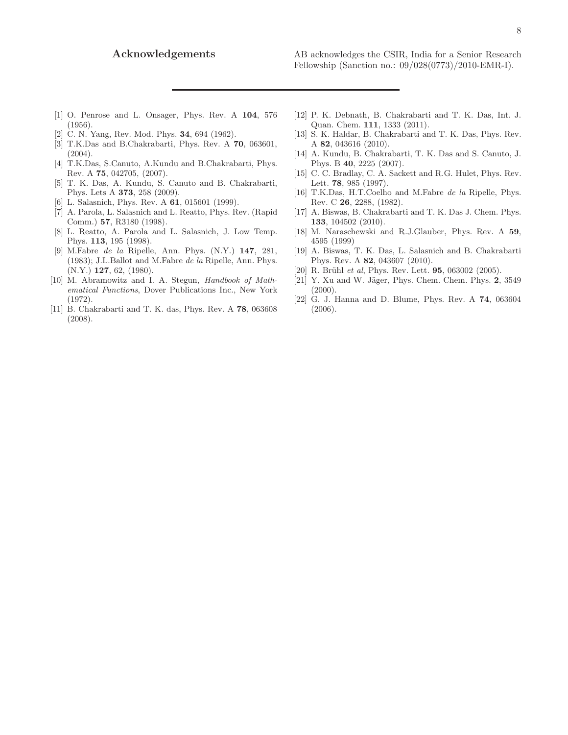- <span id="page-7-0"></span>[1] O. Penrose and L. Onsager, Phys. Rev. A 104, 576 (1956).
- <span id="page-7-1"></span>[2] C. N. Yang, Rev. Mod. Phys. 34, 694 (1962).
- <span id="page-7-2"></span>[3] T.K.Das and B.Chakrabarti, Phys. Rev. A 70, 063601, (2004).
- <span id="page-7-4"></span>[4] T.K.Das, S.Canuto, A.Kundu and B.Chakrabarti, Phys. Rev. A 75, 042705, (2007).
- <span id="page-7-3"></span>[5] T. K. Das, A. Kundu, S. Canuto and B. Chakrabarti, Phys. Lets A 373, 258 (2009).
- <span id="page-7-5"></span>[6] L. Salasnich, Phys. Rev. A 61, 015601 (1999).
- <span id="page-7-7"></span>[7] A. Parola, L. Salasnich and L. Reatto, Phys. Rev. (Rapid Comm.) 57, R3180 (1998).
- <span id="page-7-6"></span>[8] L. Reatto, A. Parola and L. Salasnich, J. Low Temp. Phys. 113, 195 (1998).
- <span id="page-7-8"></span>[9] M.Fabre de la Ripelle, Ann. Phys. (N.Y.) 147, 281, (1983); J.L.Ballot and M.Fabre de la Ripelle, Ann. Phys. (N.Y.) 127, 62, (1980).
- <span id="page-7-9"></span>[10] M. Abramowitz and I. A. Stegun, Handbook of Mathematical Functions, Dover Publications Inc., New York (1972).
- <span id="page-7-10"></span>[11] B. Chakrabarti and T. K. das, Phys. Rev. A 78, 063608 (2008).
- <span id="page-7-11"></span>[12] P. K. Debnath, B. Chakrabarti and T. K. Das, Int. J. Quan. Chem. 111, 1333 (2011).
- [13] S. K. Haldar, B. Chakrabarti and T. K. Das, Phys. Rev. A 82, 043616 (2010).
- <span id="page-7-12"></span>[14] A. Kundu, B. Chakrabarti, T. K. Das and S. Canuto, J. Phys. B 40, 2225 (2007).
- <span id="page-7-13"></span>[15] C. C. Bradlay, C. A. Sackett and R.G. Hulet, Phys. Rev. Lett. 78, 985 (1997).
- <span id="page-7-14"></span>[16] T.K.Das, H.T.Coelho and M.Fabre de la Ripelle, Phys. Rev. C 26, 2288, (1982).
- <span id="page-7-15"></span>[17] A. Biswas, B. Chakrabarti and T. K. Das J. Chem. Phys. 133, 104502 (2010).
- <span id="page-7-16"></span>[18] M. Naraschewski and R.J.Glauber, Phys. Rev. A 59, 4595 (1999)
- <span id="page-7-17"></span>[19] A. Biswas, T. K. Das, L. Salasnich and B. Chakrabarti Phys. Rev. A 82, 043607 (2010).
- <span id="page-7-18"></span>[20] R. Brühl et al, Phys. Rev. Lett. **95**, 063002 (2005).
- <span id="page-7-19"></span>[21] Y. Xu and W. Jäger, Phys. Chem. Chem. Phys. 2, 3549  $(2000).$
- <span id="page-7-20"></span>[22] G. J. Hanna and D. Blume, Phys. Rev. A 74, 063604 (2006).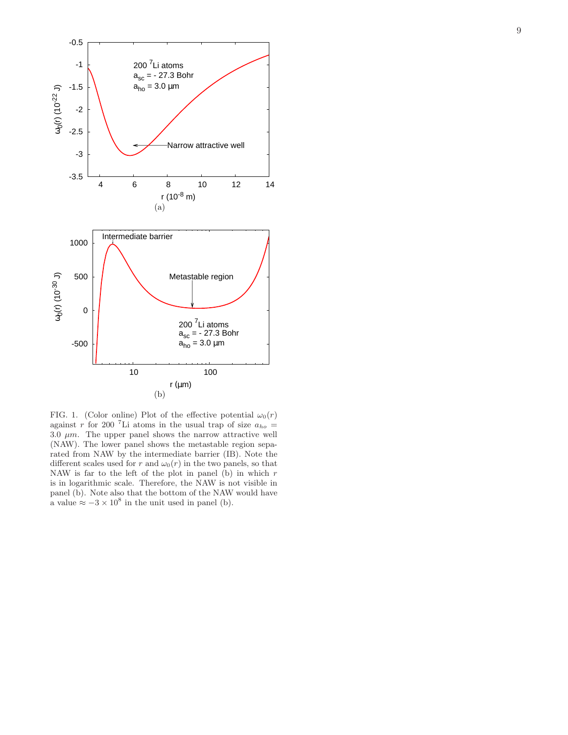

FIG. 1. (Color online) Plot of the effective potential  $\omega_0(r)$ against r for 200<sup>7</sup>Li atoms in the usual trap of size  $a_{ho} =$  $3.0 \mu m$ . The upper panel shows the narrow attractive well (NAW). The lower panel shows the metastable region separated from NAW by the intermediate barrier (IB). Note the different scales used for r and  $\omega_0(r)$  in the two panels, so that NAW is far to the left of the plot in panel (b) in which  $r$ is in logarithmic scale. Therefore, the NAW is not visible in panel (b). Note also that the bottom of the NAW would have a value  $\approx -3 \times 10^8$  in the unit used in panel (b).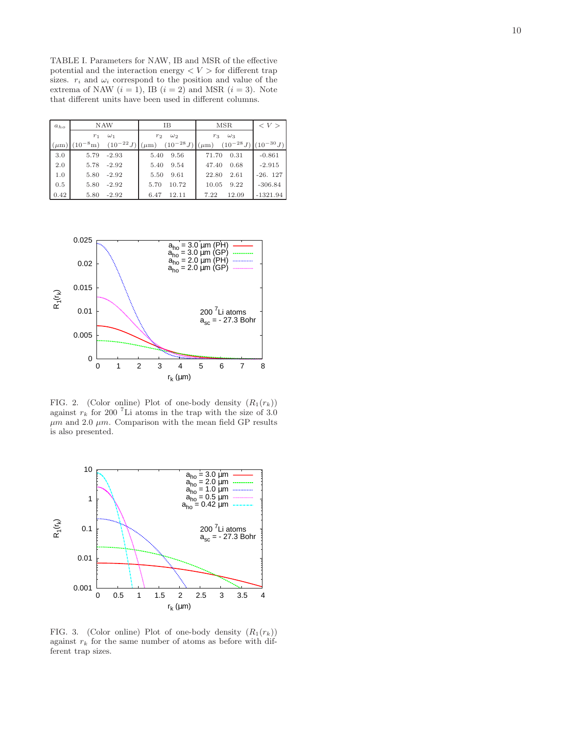TABLE I. Parameters for NAW, IB and MSR of the effective potential and the interaction energy  $\langle V \rangle$  for different trap sizes.  $r_i$  and  $\omega_i$  correspond to the position and value of the extrema of NAW  $(i = 1)$ , IB  $(i = 2)$  and MSR  $(i = 3)$ . Note that different units have been used in different columns.

| $a_{ho}$  | <b>NAW</b>          |                                            | IΒ                           |               | <b>MSR</b>               |       | $\langle V \rangle$ |
|-----------|---------------------|--------------------------------------------|------------------------------|---------------|--------------------------|-------|---------------------|
|           | $r_1$<br>$\omega_1$ |                                            | r <sub>2</sub><br>$\omega_2$ |               | $r_3 \quad \omega_3$     |       |                     |
| $(\mu m)$ |                     | $(10^{-8} \text{m})$ $(10^{-22} \text{J})$ | $(\mu m)$                    | $(10^{-28}J)$ | $(\mu m)$ $(10^{-28} J)$ |       | $(10^{-30} J)$      |
| 3.0       | 5.79                | $-2.93$                                    | 5.40                         | 9.56          | 71.70                    | 0.31  | $-0.861$            |
| 2.0       | 5.78                | $-2.92$                                    | 5.40                         | 9.54          | 47.40                    | 0.68  | $-2.915$            |
| 1.0       | 5.80                | $-2.92$                                    | 5.50                         | 9.61          | 22.80                    | 2.61  | $-26.127$           |
| 0.5       | 5.80                | $-2.92$                                    | 5.70                         | 10.72         | 10.05                    | 9.22  | $-306.84$           |
| 0.42      | 5.80                | $-2.92$                                    | 6.47                         | 12.11         | 7.22                     | 12.09 | $-1321.94$          |



FIG. 2. (Color online) Plot of one-body density  $(R_1(r_k))$ against  $r_k$  for 200<sup>7</sup>Li atoms in the trap with the size of 3.0  $\mu$ m and 2.0  $\mu$ m. Comparison with the mean field GP results is also presented.



FIG. 3. (Color online) Plot of one-body density  $(R_1(r_k))$ against  $r_k$  for the same number of atoms as before with different trap sizes.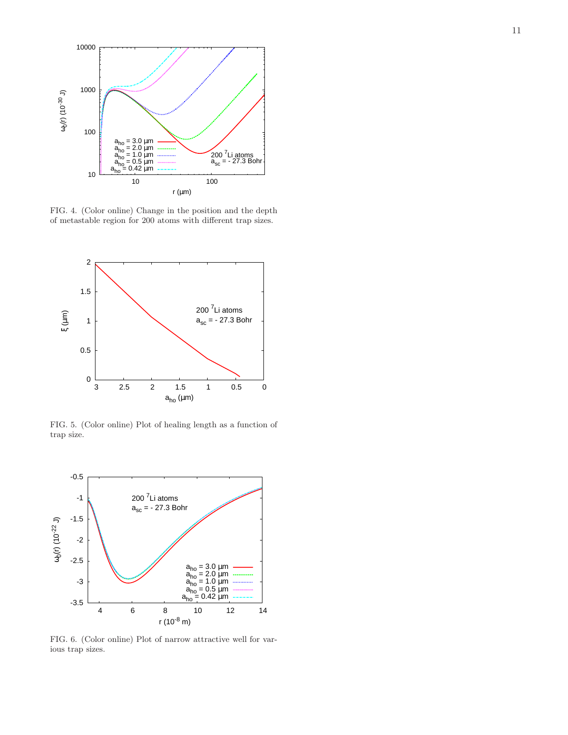

FIG. 4. (Color online) Change in the position and the depth of metastable region for 200 atoms with different trap sizes.



FIG. 5. (Color online) Plot of healing length as a function of trap size.



FIG. 6. (Color online) Plot of narrow attractive well for various trap sizes.